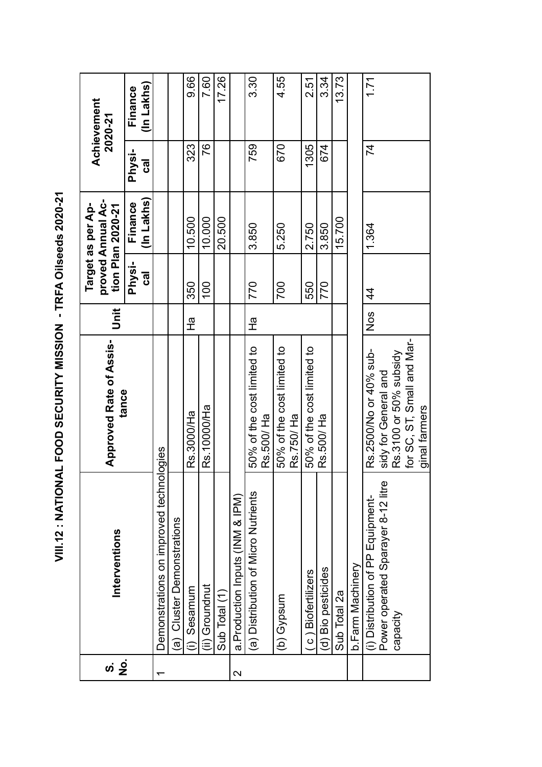| <br> <br> <br>$\frac{1}{2}$<br>֚֚֚֬                      |
|----------------------------------------------------------|
| <b>AND AND AND ALL AND AND ALL AND A</b>                 |
| Ļ                                                        |
|                                                          |
| <b>NOONE AFIOINCE COCO I ISLAND - A</b><br>$\frac{1}{2}$ |
| シンコンコンコニュー                                               |
| <b>ビニス ニュー</b>                                           |
| $\ddot{\phantom{0}}$                                     |

| <u>က</u>        |                                                                         | <b>Approved Rate of Assis-</b>                 |                 |                    | proved Annual Ac-<br>Target as per Ap- |                    | Achievement<br>2020-21 |
|-----------------|-------------------------------------------------------------------------|------------------------------------------------|-----------------|--------------------|----------------------------------------|--------------------|------------------------|
| .<br>2          | Interventions                                                           | tance                                          | Unit            |                    | tion Plan 2020-21                      |                    |                        |
|                 |                                                                         |                                                |                 | <b>Physi-</b><br>ಡ | (In Lakhs<br>Finance                   | <b>Physi-</b><br>ಥ | (In Lakhs)<br>Finance  |
|                 | Demonstrations on improved techno                                       | logies                                         |                 |                    |                                        |                    |                        |
|                 | (a) Cluster Demonstrations                                              |                                                |                 |                    |                                        |                    |                        |
|                 | Sesamum                                                                 | Rs.3000/Ha                                     | $\frac{\pi}{L}$ | 350                | 10.500                                 | 323                | 9.66                   |
|                 | (ii) Groundnut                                                          | Rs.10000/Ha                                    |                 | $\overline{00}$    | 10.000                                 | 76                 | 7.60                   |
|                 | Sub Total (1)                                                           |                                                |                 |                    | 20.500                                 |                    | 17.26                  |
| $\mathbf{\sim}$ | a.Production Inputs (INM & IPM)                                         |                                                |                 |                    |                                        |                    |                        |
|                 | (a) Distribution of Micro Nutrients                                     | 50% of the cost limited to<br>Rs.500/Ha        | $\frac{1}{4}$   | 770                | 3.850                                  | 759                | 3.30                   |
|                 | (b) Gypsum                                                              | 50% of the cost limited to<br>Rs.750/ Ha       |                 | 700                | 5.250                                  | 670                | 4.55                   |
|                 | c) Biofertilizers                                                       | 50% of the cost limited to                     |                 | 550                | 2.750                                  | 1305               | 2.51                   |
|                 | (d) Bio pesticides                                                      | Rs.500/ Ha                                     |                 | 770                | 3.850                                  | 674                | 3.34                   |
|                 | Sub Total 2a                                                            |                                                |                 |                    | 15.700                                 |                    | 13.73                  |
|                 | b.Farm Machinery                                                        |                                                |                 |                    |                                        |                    |                        |
|                 | Power operated Sparayer 8-12 litre<br>(i) Distribution of PP Equipment- | Rs.2500/No or 40% sub-<br>sidy for General and | Nos             | 4                  | 1.364                                  | 74                 | 1.71                   |
|                 | Capacity                                                                | Rs.3100 or 50% subsidy                         |                 |                    |                                        |                    |                        |
|                 |                                                                         | for SC, ST, Small and Mar-<br>ginal farmers    |                 |                    |                                        |                    |                        |